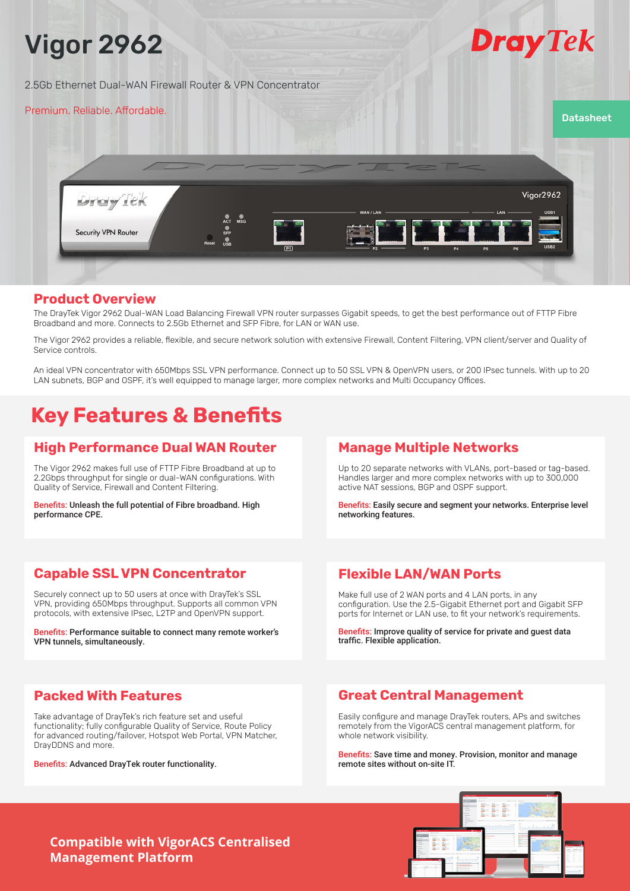

### **Product Overview**

The DrayTek Vigor 2962 Dual-WAN Load Balancing Firewall VPN router surpasses Gigabit speeds, to get the best performance out of FTTP Fibre Broadband and more. Connects to 2.5Gb Ethernet and SFP Fibre, for LAN or WAN use.

The Vigor 2962 provides a reliable, flexible, and secure network solution with extensive Firewall, Content Filtering, VPN client/server and Quality of Service controls.

An ideal VPN concentrator with 650Mbps SSL VPN performance. Connect up to 50 SSL VPN & OpenVPN users, or 200 IPsec tunnels. With up to 20 LAN subnets, BGP and OSPF, it's well equipped to manage larger, more complex networks and Multi Occupancy Offices.

# **Key Features & Benefits**

## **High Performance Dual WAN Router**

The Vigor 2962 makes full use of FTTP Fibre Broadband at up to 2.2Gbps throughput for single or dual-WAN configurations. With Quality of Service, Firewall and Content Filtering.

Benefits: Unleash the full potential of Fibre broadband. High performance CPE.

# **Manage Multiple Networks**

Up to 20 separate networks with VLANs, port-based or tag-based. Handles larger and more complex networks with up to 300,000 active NAT sessions, BGP and OSPF support.

Benefits: Easily secure and segment your networks. Enterprise level networking features.

# **Capable SSL VPN Concentrator**

Securely connect up to 50 users at once with DrayTek's SSL VPN, providing 650Mbps throughput. Supports all common VPN protocols, with extensive IPsec, L2TP and OpenVPN support.

Benefits: Performance suitable to connect many remote worker's VPN tunnels, simultaneously.

# **Flexible LAN/WAN Ports**

Make full use of 2 WAN ports and 4 LAN ports, in any configuration. Use the 2.5-Gigabit Ethernet port and Gigabit SFP ports for Internet or LAN use, to fit your network's requirements.

Benefits: Improve quality of service for private and guest data traffic. Flexible application.

# **Packed With Features**

Take advantage of DrayTek's rich feature set and useful functionality; fully configurable Quality of Service, Route Policy for advanced routing/failover, Hotspot Web Portal, VPN Matcher, DrayDDNS and more.

Benefits: Advanced DrayTek router functionality.

# **Great Central Management**

Easily configure and manage DrayTek routers, APs and switches remotely from the VigorACS central management platform, for whole network visibility.

Benefits: Save time and money. Provision, monitor and manage remote sites without on-site IT.

**Compatible with VigorACS Centralised Management Platform**

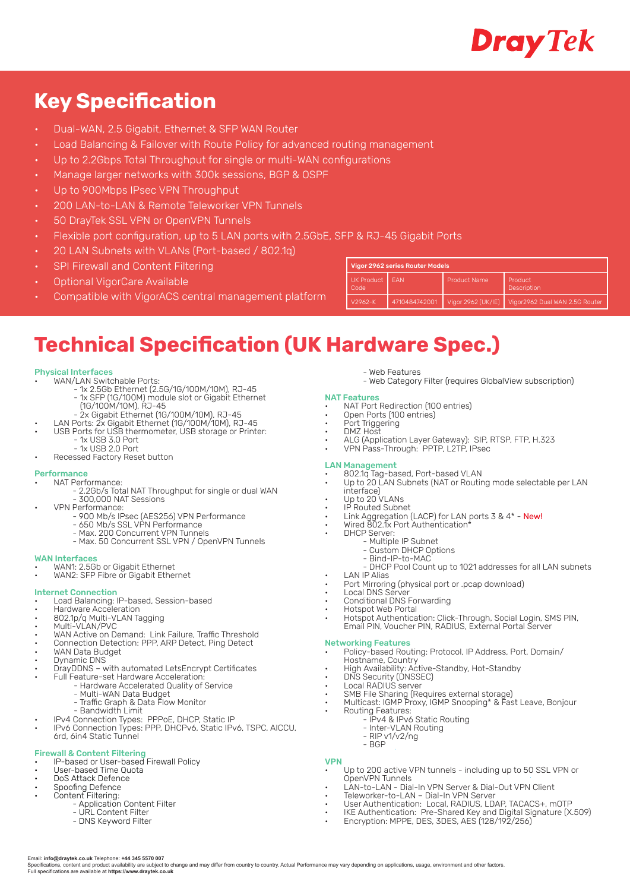

# **Key Specification**

- Dual-WAN, 2.5 Gigabit, Ethernet & SFP WAN Router
- Load Balancing & Failover with Route Policy for advanced routing management
- Up to 2.2Gbps Total Throughput for single or multi-WAN configurations
- Manage larger networks with 300k sessions, BGP & OSPF
- Up to 900Mbps IPsec VPN Throughput
- 200 LAN-to-LAN & Remote Teleworker VPN Tunnels
- 50 DrayTek SSL VPN or OpenVPN Tunnels
- Flexible port configuration, up to 5 LAN ports with 2.5GbE, SFP & RJ-45 Gigabit Ports
- 20 LAN Subnets with VLANs (Port-based / 802.1q)
- SPI Firewall and Content Filtering
- Optional VigorCare Available
- Compatible with VigorACS central management platform

| Vigor 2962 series Router Models |               |                    |                                      |
|---------------------------------|---------------|--------------------|--------------------------------------|
| <b>UK Product</b><br>Code       | <b>FAN</b>    | Product Name       | <b>Product</b><br><b>Description</b> |
| $V2962-K$                       | 4710484742001 | Vigor 2962 (UK/IE) | Vigor2962 Dual WAN 2.5G Router       |

# **Technical Specification (UK Hardware Spec.)**

#### Physical Interfaces

- WAN/LAN Switchable Ports:
	- 1x 2.5Gb Ethernet (2.5G/1G/100M/10M), RJ-45 - 1x SFP (1G/100M) module slot or Gigabit Ethernet
- (1G/100M/10M), RJ-45
	- 2x Gigabit Ethernet (1G/100M/10M), RJ-45
- LAN Ports: 2x Gigabit Ethernet (1G/100M/10M), RJ-45 • USB Ports for USB thermometer, USB storage or Printer:
- 1x USB 3.0 Port
	- 1x USB 2.0 Port
	- Recessed Factory Reset button

#### Performance

- NAT Performance:
	- 2.2Gb/s Total NAT Throughput for single or dual WAN - 300,000 NAT Sessions
	- VPN Performance:
		- 900 Mb/s IPsec (AES256) VPN Performance - 650 Mb/s SSL VPN Performance
		- Max. 200 Concurrent VPN Tunnels
		- Max. 50 Concurrent SSL VPN / OpenVPN Tunnels

#### WAN Interfaces

- WAN1: 2.5Gb or Gigabit Ethernet
- WAN2: SFP Fibre or Gigabit Ethernet

### Internet Connection

- 
- Load Balancing: IP-based, Session-based<br>Hardware Acceleration
- Hardware Acceleration 802.1p/q Multi-VLAN Tagging
- Multi-VLAN/PVC
- WAN Active on Demand: Link Failure, Traffic Threshold
- Connection Detection: PPP, ARP Detect, Ping Detect • WAN Data Budget
- Dynamic DNS
- DrayDDNS with automated LetsEncrypt Certificates
- Full Feature-set Hardware Acceleration:
	- Hardware Accelerated Quality of Service
		- Multi-WAN Data Budget
		- Traffic Graph & Data Flow Monitor
	- Bandwidth Limit • IPv4 Connection Types: PPPoE, DHCP, Static IP
- IPv6 Connection Types: PPP, DHCPv6, Static IPv6, TSPC, AICCU, 6rd, 6in4 Static Tunnel

### Firewall & Content Filtering

- IP-based or User-based Firewall Policy
- User-based Time Quota
- DoS Attack Defence Spoofing Defence
- Content Filtering:
	- Application Content Filter
	- URL Content Filter
	- DNS Keyword Filter

Email: **info@draytek.co.uk** Telephone: **+44 345 5570 007**

Full specifications are available at **https://www.draytek.co.uk**

- Web Category Filter (requires GlobalView subscription)

#### NAT Features

• NAT Port Redirection (100 entries) • Open Ports (100 entries)

- Web Features

- 
- Port Triggering • DMZ Host
- ALG (Application Layer Gateway): SIP, RTSP, FTP, H.323
- VPN Pass-Through: PPTP, L2TP, IPsec

#### LAN Management

- 802.1q Tag-based, Port-based VLAN
- Up to 20 LAN Subnets (NAT or Routing mode selectable per LAN interface)
- Up to 20 VLANs
- IP Routed Subnet
- Link Aggregation (LACP) for LAN ports 3 & 4\* New!
- Wired 802.1x Port Authentication\*
- DHCP Server:
- Multiple IP Subnet
	- Custom DHCP Options
	- Bind-IP-to-MAC
		- DHCP Pool Count up to 1021 addresses for all LAN subnets
- **LAN IP Alias**
- Port Mirroring (physical port or .pcap download)
- Local DNS Server
- **Conditional DNS Forwarding**<br>
Hotspot Web Portal
- Hotspot Web Portal Hotspot Authentication: Click-Through, Social Login, SMS PIN, Email PIN, Voucher PIN, RADIUS, External Portal Server

- Networking Features Policy-based Routing: Protocol, IP Address, Port, Domain/ Hostname, Country
- High Availability: Active-Standby, Hot-Standby
- DNS Security (DNSSEC)
- Local RADIUS server
- SMB File Sharing (Requires external storage)
- Multicast: IGMP Proxy, IGMP Snooping\* & Fast Leave, Bonjour
- Routing Features:
	- IPv4 & IPv6 Static Routing - Inter-VLAN Routing
	- RIP v1/v2/ng
	- BGP

### VPN

Specifications, content and product availability are subject to change and may differ from country to country. Actual Performance may vary depending on applications, usage, environment and other factors

- Up to 200 active VPN tunnels including up to 50 SSL VPN or OpenVPN Tunnels
- LAN-to-LAN Dial-In VPN Server & Dial-Out VPN Client
- Teleworker-to-LAN Dial-In VPN Server
- User Authentication: Local, RADIUS, LDAP, TACACS+, mOTP
- IKE Authentication: Pre-Shared Key and Digital Signature (X.509)
- Encryption: MPPE, DES, 3DES, AES (128/192/256)